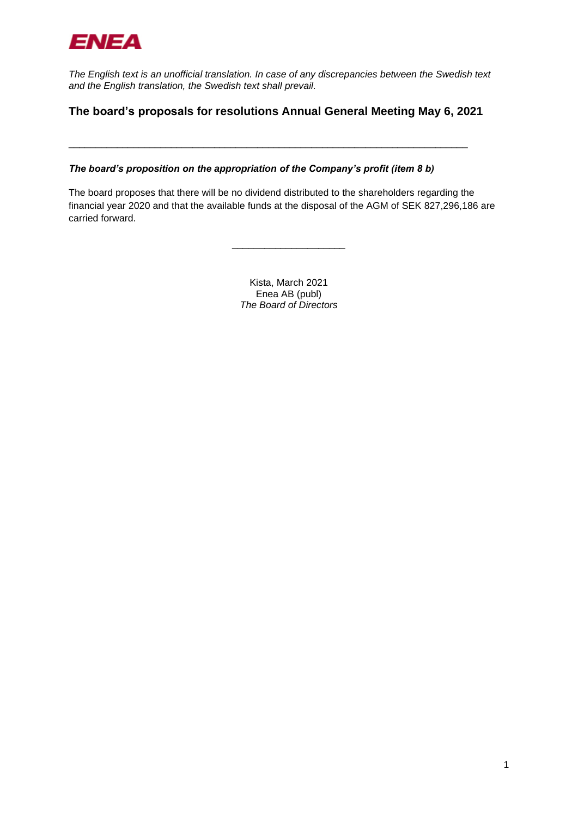

*The English text is an unofficial translation. In case of any discrepancies between the Swedish text and the English translation, the Swedish text shall prevail.*

## **The board's proposals for resolutions Annual General Meeting May 6, 2021**

\_\_\_\_\_\_\_\_\_\_\_\_\_\_\_\_\_\_\_\_\_\_\_\_\_\_\_\_\_\_\_\_\_\_\_\_\_\_\_\_\_\_\_\_\_\_\_\_\_\_\_\_\_\_\_\_\_\_\_\_\_\_\_\_\_\_\_\_\_\_\_\_\_\_

*The board's proposition on the appropriation of the Company's profit (item 8 b)* 

The board proposes that there will be no dividend distributed to the shareholders regarding the financial year 2020 and that the available funds at the disposal of the AGM of SEK 827,296,186 are carried forward.

> Kista, March 2021 Enea AB (publ) *The Board of Directors*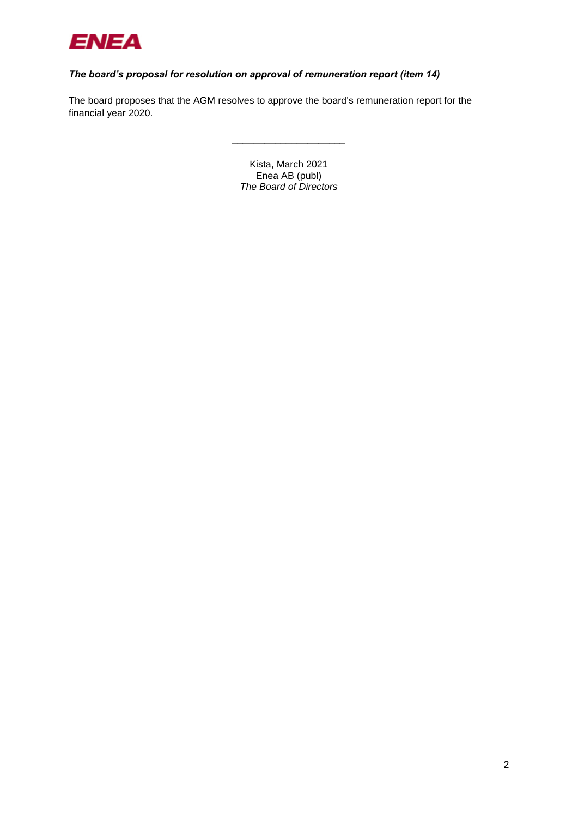

## *The board's proposal for resolution on approval of remuneration report (item 14)*

The board proposes that the AGM resolves to approve the board's remuneration report for the financial year 2020.

> Kista, March 2021 Enea AB (publ) *The Board of Directors*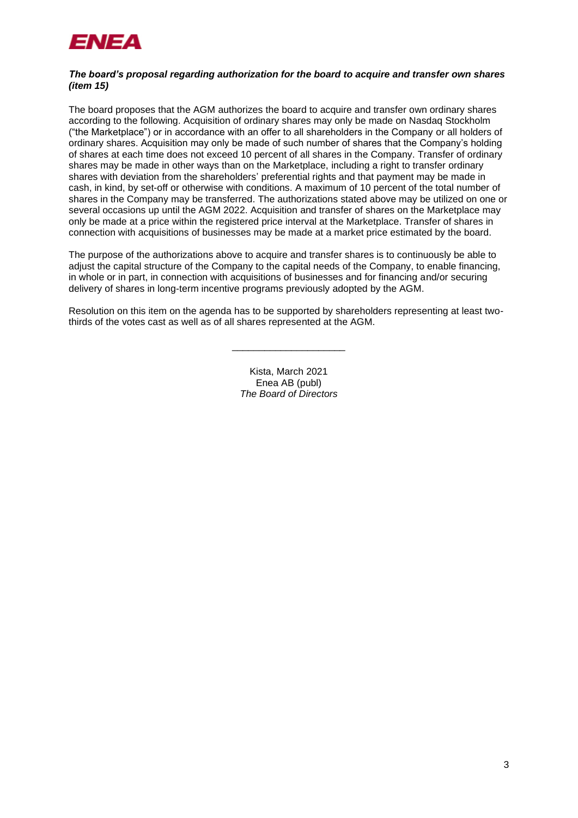

#### *The board's proposal regarding authorization for the board to acquire and transfer own shares (item 15)*

The board proposes that the AGM authorizes the board to acquire and transfer own ordinary shares according to the following. Acquisition of ordinary shares may only be made on Nasdaq Stockholm ("the Marketplace") or in accordance with an offer to all shareholders in the Company or all holders of ordinary shares. Acquisition may only be made of such number of shares that the Company's holding of shares at each time does not exceed 10 percent of all shares in the Company. Transfer of ordinary shares may be made in other ways than on the Marketplace, including a right to transfer ordinary shares with deviation from the shareholders' preferential rights and that payment may be made in cash, in kind, by set-off or otherwise with conditions. A maximum of 10 percent of the total number of shares in the Company may be transferred. The authorizations stated above may be utilized on one or several occasions up until the AGM 2022. Acquisition and transfer of shares on the Marketplace may only be made at a price within the registered price interval at the Marketplace. Transfer of shares in connection with acquisitions of businesses may be made at a market price estimated by the board.

The purpose of the authorizations above to acquire and transfer shares is to continuously be able to adjust the capital structure of the Company to the capital needs of the Company, to enable financing, in whole or in part, in connection with acquisitions of businesses and for financing and/or securing delivery of shares in long-term incentive programs previously adopted by the AGM.

Resolution on this item on the agenda has to be supported by shareholders representing at least twothirds of the votes cast as well as of all shares represented at the AGM.

\_\_\_\_\_\_\_\_\_\_\_\_\_\_\_\_\_\_\_\_\_

Kista, March 2021 Enea AB (publ) *The Board of Directors*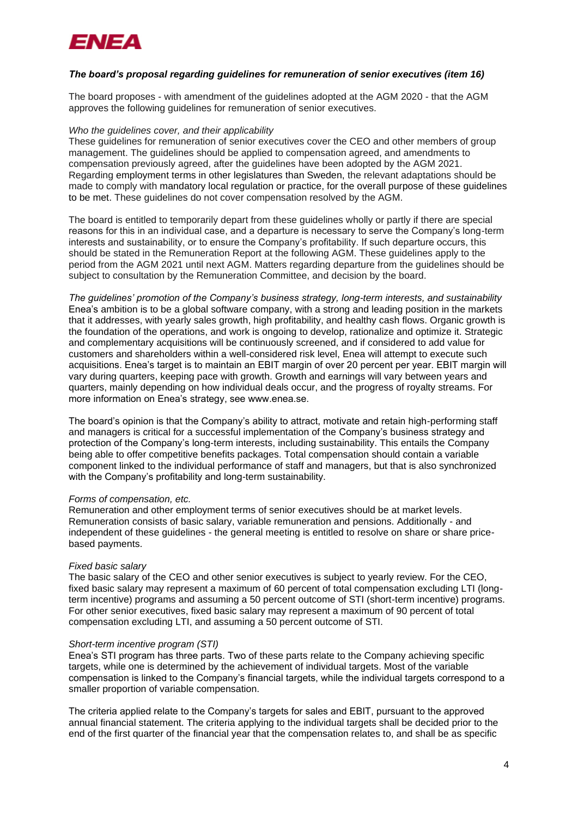

#### *The board's proposal regarding guidelines for remuneration of senior executives (item 16)*

The board proposes - with amendment of the guidelines adopted at the AGM 2020 - that the AGM approves the following guidelines for remuneration of senior executives.

#### *Who the guidelines cover, and their applicability*

These guidelines for remuneration of senior executives cover the CEO and other members of group management. The guidelines should be applied to compensation agreed, and amendments to compensation previously agreed, after the guidelines have been adopted by the AGM 2021. Regarding employment terms in other legislatures than Sweden, the relevant adaptations should be made to comply with mandatory local regulation or practice, for the overall purpose of these guidelines to be met. These guidelines do not cover compensation resolved by the AGM.

The board is entitled to temporarily depart from these guidelines wholly or partly if there are special reasons for this in an individual case, and a departure is necessary to serve the Company's long-term interests and sustainability, or to ensure the Company's profitability. If such departure occurs, this should be stated in the Remuneration Report at the following AGM. These guidelines apply to the period from the AGM 2021 until next AGM. Matters regarding departure from the guidelines should be subject to consultation by the Remuneration Committee, and decision by the board.

*The guidelines' promotion of the Company's business strategy, long-term interests, and sustainability* Enea's ambition is to be a global software company, with a strong and leading position in the markets that it addresses, with yearly sales growth, high profitability, and healthy cash flows. Organic growth is the foundation of the operations, and work is ongoing to develop, rationalize and optimize it. Strategic and complementary acquisitions will be continuously screened, and if considered to add value for customers and shareholders within a well-considered risk level, Enea will attempt to execute such acquisitions. Enea's target is to maintain an EBIT margin of over 20 percent per year. EBIT margin will vary during quarters, keeping pace with growth. Growth and earnings will vary between years and quarters, mainly depending on how individual deals occur, and the progress of royalty streams. For more information on Enea's strategy, see www.enea.se.

The board's opinion is that the Company's ability to attract, motivate and retain high-performing staff and managers is critical for a successful implementation of the Company's business strategy and protection of the Company's long-term interests, including sustainability. This entails the Company being able to offer competitive benefits packages. Total compensation should contain a variable component linked to the individual performance of staff and managers, but that is also synchronized with the Company's profitability and long-term sustainability.

#### *Forms of compensation, etc.*

Remuneration and other employment terms of senior executives should be at market levels. Remuneration consists of basic salary, variable remuneration and pensions. Additionally - and independent of these guidelines - the general meeting is entitled to resolve on share or share pricebased payments.

#### *Fixed basic salary*

The basic salary of the CEO and other senior executives is subject to yearly review. For the CEO, fixed basic salary may represent a maximum of 60 percent of total compensation excluding LTI (longterm incentive) programs and assuming a 50 percent outcome of STI (short-term incentive) programs. For other senior executives, fixed basic salary may represent a maximum of 90 percent of total compensation excluding LTI, and assuming a 50 percent outcome of STI.

#### *Short-term incentive program (STI)*

Enea's STI program has three parts. Two of these parts relate to the Company achieving specific targets, while one is determined by the achievement of individual targets. Most of the variable compensation is linked to the Company's financial targets, while the individual targets correspond to a smaller proportion of variable compensation.

The criteria applied relate to the Company's targets for sales and EBIT, pursuant to the approved annual financial statement. The criteria applying to the individual targets shall be decided prior to the end of the first quarter of the financial year that the compensation relates to, and shall be as specific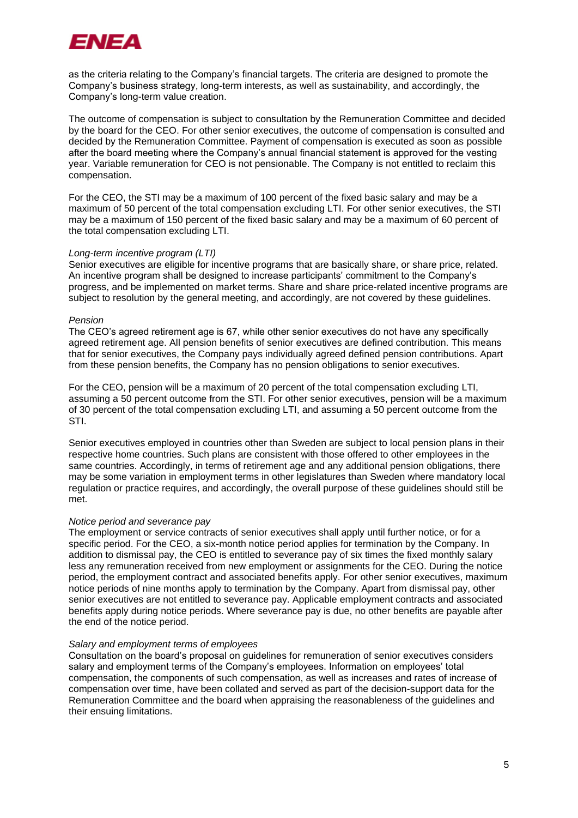

as the criteria relating to the Company's financial targets. The criteria are designed to promote the Company's business strategy, long-term interests, as well as sustainability, and accordingly, the Company's long-term value creation.

The outcome of compensation is subject to consultation by the Remuneration Committee and decided by the board for the CEO. For other senior executives, the outcome of compensation is consulted and decided by the Remuneration Committee. Payment of compensation is executed as soon as possible after the board meeting where the Company's annual financial statement is approved for the vesting year. Variable remuneration for CEO is not pensionable. The Company is not entitled to reclaim this compensation.

For the CEO, the STI may be a maximum of 100 percent of the fixed basic salary and may be a maximum of 50 percent of the total compensation excluding LTI. For other senior executives, the STI may be a maximum of 150 percent of the fixed basic salary and may be a maximum of 60 percent of the total compensation excluding LTI.

#### *Long-term incentive program (LTI)*

Senior executives are eligible for incentive programs that are basically share, or share price, related. An incentive program shall be designed to increase participants' commitment to the Company's progress, and be implemented on market terms. Share and share price-related incentive programs are subject to resolution by the general meeting, and accordingly, are not covered by these guidelines.

#### *Pension*

The CEO's agreed retirement age is 67, while other senior executives do not have any specifically agreed retirement age. All pension benefits of senior executives are defined contribution. This means that for senior executives, the Company pays individually agreed defined pension contributions. Apart from these pension benefits, the Company has no pension obligations to senior executives.

For the CEO, pension will be a maximum of 20 percent of the total compensation excluding LTI, assuming a 50 percent outcome from the STI. For other senior executives, pension will be a maximum of 30 percent of the total compensation excluding LTI, and assuming a 50 percent outcome from the STI.

Senior executives employed in countries other than Sweden are subject to local pension plans in their respective home countries. Such plans are consistent with those offered to other employees in the same countries. Accordingly, in terms of retirement age and any additional pension obligations, there may be some variation in employment terms in other legislatures than Sweden where mandatory local regulation or practice requires, and accordingly, the overall purpose of these guidelines should still be met.

#### *Notice period and severance pay*

The employment or service contracts of senior executives shall apply until further notice, or for a specific period. For the CEO, a six-month notice period applies for termination by the Company. In addition to dismissal pay, the CEO is entitled to severance pay of six times the fixed monthly salary less any remuneration received from new employment or assignments for the CEO. During the notice period, the employment contract and associated benefits apply. For other senior executives, maximum notice periods of nine months apply to termination by the Company. Apart from dismissal pay, other senior executives are not entitled to severance pay. Applicable employment contracts and associated benefits apply during notice periods. Where severance pay is due, no other benefits are payable after the end of the notice period.

#### *Salary and employment terms of employees*

Consultation on the board's proposal on guidelines for remuneration of senior executives considers salary and employment terms of the Company's employees. Information on employees' total compensation, the components of such compensation, as well as increases and rates of increase of compensation over time, have been collated and served as part of the decision-support data for the Remuneration Committee and the board when appraising the reasonableness of the guidelines and their ensuing limitations.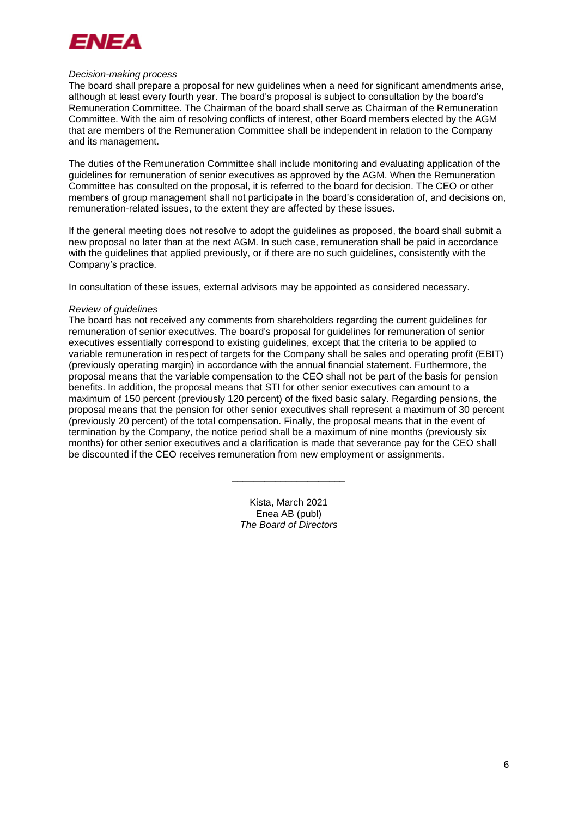

#### *Decision-making process*

The board shall prepare a proposal for new guidelines when a need for significant amendments arise, although at least every fourth year. The board's proposal is subject to consultation by the board's Remuneration Committee. The Chairman of the board shall serve as Chairman of the Remuneration Committee. With the aim of resolving conflicts of interest, other Board members elected by the AGM that are members of the Remuneration Committee shall be independent in relation to the Company and its management.

The duties of the Remuneration Committee shall include monitoring and evaluating application of the guidelines for remuneration of senior executives as approved by the AGM. When the Remuneration Committee has consulted on the proposal, it is referred to the board for decision. The CEO or other members of group management shall not participate in the board's consideration of, and decisions on, remuneration-related issues, to the extent they are affected by these issues.

If the general meeting does not resolve to adopt the guidelines as proposed, the board shall submit a new proposal no later than at the next AGM. In such case, remuneration shall be paid in accordance with the guidelines that applied previously, or if there are no such guidelines, consistently with the Company's practice.

In consultation of these issues, external advisors may be appointed as considered necessary.

#### *Review of guidelines*

The board has not received any comments from shareholders regarding the current guidelines for remuneration of senior executives. The board's proposal for guidelines for remuneration of senior executives essentially correspond to existing guidelines, except that the criteria to be applied to variable remuneration in respect of targets for the Company shall be sales and operating profit (EBIT) (previously operating margin) in accordance with the annual financial statement. Furthermore, the proposal means that the variable compensation to the CEO shall not be part of the basis for pension benefits. In addition, the proposal means that STI for other senior executives can amount to a maximum of 150 percent (previously 120 percent) of the fixed basic salary. Regarding pensions, the proposal means that the pension for other senior executives shall represent a maximum of 30 percent (previously 20 percent) of the total compensation. Finally, the proposal means that in the event of termination by the Company, the notice period shall be a maximum of nine months (previously six months) for other senior executives and a clarification is made that severance pay for the CEO shall be discounted if the CEO receives remuneration from new employment or assignments.

> Kista, March 2021 Enea AB (publ) *The Board of Directors*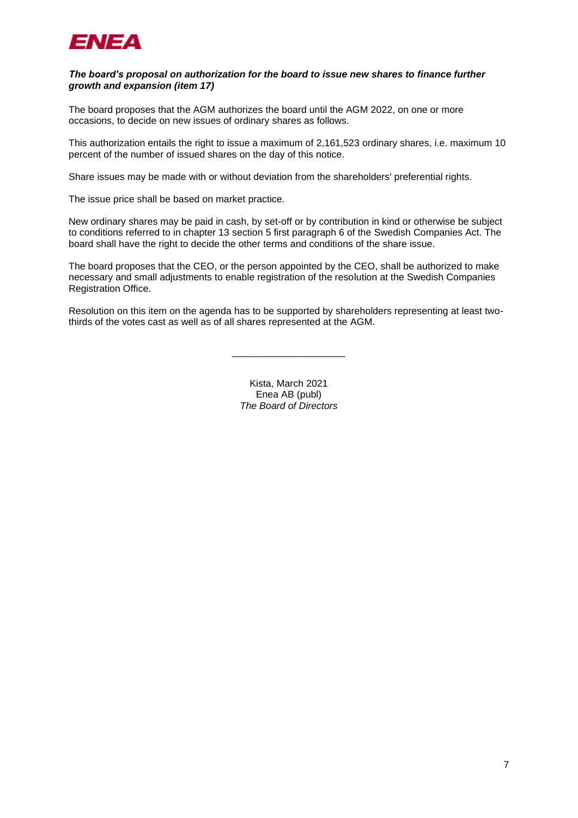

#### *The board's proposal on authorization for the board to issue new shares to finance further growth and expansion (item 17)*

The board proposes that the AGM authorizes the board until the AGM 2022, on one or more occasions, to decide on new issues of ordinary shares as follows.

This authorization entails the right to issue a maximum of 2,161,523 ordinary shares, i.e. maximum 10 percent of the number of issued shares on the day of this notice.

Share issues may be made with or without deviation from the shareholders' preferential rights.

The issue price shall be based on market practice.

New ordinary shares may be paid in cash, by set-off or by contribution in kind or otherwise be subject to conditions referred to in chapter 13 section 5 first paragraph 6 of the Swedish Companies Act. The board shall have the right to decide the other terms and conditions of the share issue.

The board proposes that the CEO, or the person appointed by the CEO, shall be authorized to make necessary and small adjustments to enable registration of the resolution at the Swedish Companies Registration Office.

Resolution on this item on the agenda has to be supported by shareholders representing at least twothirds of the votes cast as well as of all shares represented at the AGM.

\_\_\_\_\_\_\_\_\_\_\_\_\_\_\_\_\_\_\_\_\_

Kista, March 2021 Enea AB (publ) *The Board of Directors*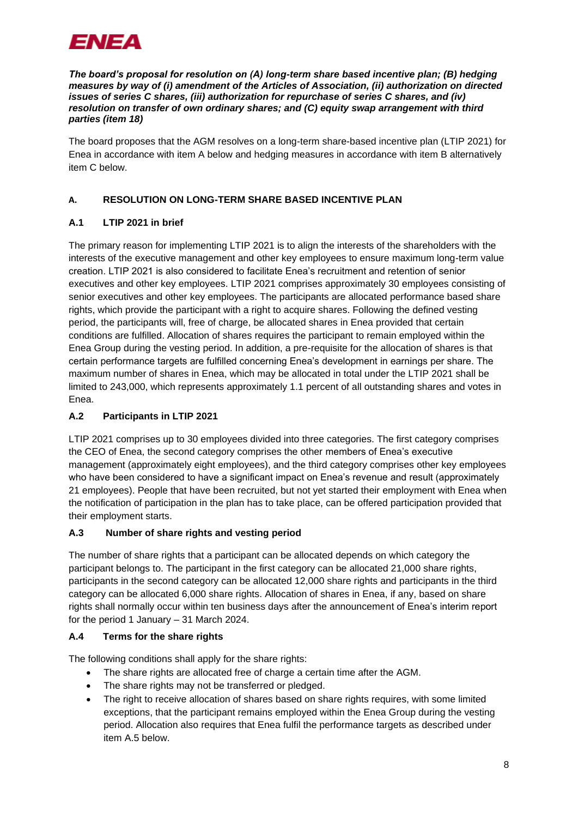

*The board's proposal for resolution on (A) long-term share based incentive plan; (B) hedging measures by way of (i) amendment of the Articles of Association, (ii) authorization on directed issues of series C shares, (iii) authorization for repurchase of series C shares, and (iv) resolution on transfer of own ordinary shares; and (C) equity swap arrangement with third parties (item 18)*

The board proposes that the AGM resolves on a long-term share-based incentive plan (LTIP 2021) for Enea in accordance with item A below and hedging measures in accordance with item B alternatively item C below.

## **A. RESOLUTION ON LONG-TERM SHARE BASED INCENTIVE PLAN**

## **A.1 LTIP 2021 in brief**

The primary reason for implementing LTIP 2021 is to align the interests of the shareholders with the interests of the executive management and other key employees to ensure maximum long-term value creation. LTIP 2021 is also considered to facilitate Enea's recruitment and retention of senior executives and other key employees. LTIP 2021 comprises approximately 30 employees consisting of senior executives and other key employees. The participants are allocated performance based share rights, which provide the participant with a right to acquire shares. Following the defined vesting period, the participants will, free of charge, be allocated shares in Enea provided that certain conditions are fulfilled. Allocation of shares requires the participant to remain employed within the Enea Group during the vesting period. In addition, a pre-requisite for the allocation of shares is that certain performance targets are fulfilled concerning Enea's development in earnings per share. The maximum number of shares in Enea, which may be allocated in total under the LTIP 2021 shall be limited to 243,000, which represents approximately 1.1 percent of all outstanding shares and votes in Enea.

## **A.2 Participants in LTIP 2021**

LTIP 2021 comprises up to 30 employees divided into three categories. The first category comprises the CEO of Enea, the second category comprises the other members of Enea's executive management (approximately eight employees), and the third category comprises other key employees who have been considered to have a significant impact on Enea's revenue and result (approximately 21 employees). People that have been recruited, but not yet started their employment with Enea when the notification of participation in the plan has to take place, can be offered participation provided that their employment starts.

## **A.3 Number of share rights and vesting period**

The number of share rights that a participant can be allocated depends on which category the participant belongs to. The participant in the first category can be allocated 21,000 share rights, participants in the second category can be allocated 12,000 share rights and participants in the third category can be allocated 6,000 share rights. Allocation of shares in Enea, if any, based on share rights shall normally occur within ten business days after the announcement of Enea's interim report for the period 1 January – 31 March 2024.

## **A.4 Terms for the share rights**

The following conditions shall apply for the share rights:

- The share rights are allocated free of charge a certain time after the AGM.
- The share rights may not be transferred or pledged.
- The right to receive allocation of shares based on share rights requires, with some limited exceptions, that the participant remains employed within the Enea Group during the vesting period. Allocation also requires that Enea fulfil the performance targets as described under item [A.5](#page-8-0) below.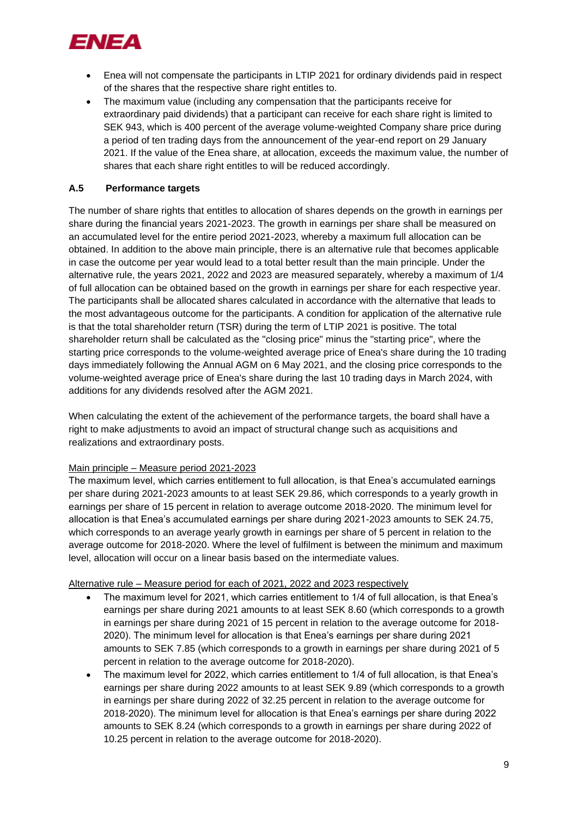

- Enea will not compensate the participants in LTIP 2021 for ordinary dividends paid in respect of the shares that the respective share right entitles to.
- The maximum value (including any compensation that the participants receive for extraordinary paid dividends) that a participant can receive for each share right is limited to SEK 943, which is 400 percent of the average volume-weighted Company share price during a period of ten trading days from the announcement of the year-end report on 29 January 2021. If the value of the Enea share, at allocation, exceeds the maximum value, the number of shares that each share right entitles to will be reduced accordingly.

## <span id="page-8-0"></span>**A.5 Performance targets**

The number of share rights that entitles to allocation of shares depends on the growth in earnings per share during the financial years 2021-2023. The growth in earnings per share shall be measured on an accumulated level for the entire period 2021-2023, whereby a maximum full allocation can be obtained. In addition to the above main principle, there is an alternative rule that becomes applicable in case the outcome per year would lead to a total better result than the main principle. Under the alternative rule, the years 2021, 2022 and 2023 are measured separately, whereby a maximum of 1/4 of full allocation can be obtained based on the growth in earnings per share for each respective year. The participants shall be allocated shares calculated in accordance with the alternative that leads to the most advantageous outcome for the participants. A condition for application of the alternative rule is that the total shareholder return (TSR) during the term of LTIP 2021 is positive. The total shareholder return shall be calculated as the "closing price" minus the "starting price", where the starting price corresponds to the volume-weighted average price of Enea's share during the 10 trading days immediately following the Annual AGM on 6 May 2021, and the closing price corresponds to the volume-weighted average price of Enea's share during the last 10 trading days in March 2024, with additions for any dividends resolved after the AGM 2021.

When calculating the extent of the achievement of the performance targets, the board shall have a right to make adjustments to avoid an impact of structural change such as acquisitions and realizations and extraordinary posts.

## Main principle – Measure period 2021-2023

The maximum level, which carries entitlement to full allocation, is that Enea's accumulated earnings per share during 2021-2023 amounts to at least SEK 29.86, which corresponds to a yearly growth in earnings per share of 15 percent in relation to average outcome 2018-2020. The minimum level for allocation is that Enea's accumulated earnings per share during 2021-2023 amounts to SEK 24.75, which corresponds to an average yearly growth in earnings per share of 5 percent in relation to the average outcome for 2018-2020. Where the level of fulfilment is between the minimum and maximum level, allocation will occur on a linear basis based on the intermediate values.

## Alternative rule – Measure period for each of 2021, 2022 and 2023 respectively

- The maximum level for 2021, which carries entitlement to 1/4 of full allocation, is that Enea's earnings per share during 2021 amounts to at least SEK 8.60 (which corresponds to a growth in earnings per share during 2021 of 15 percent in relation to the average outcome for 2018- 2020). The minimum level for allocation is that Enea's earnings per share during 2021 amounts to SEK 7.85 (which corresponds to a growth in earnings per share during 2021 of 5 percent in relation to the average outcome for 2018-2020).
- The maximum level for 2022, which carries entitlement to 1/4 of full allocation, is that Enea's earnings per share during 2022 amounts to at least SEK 9.89 (which corresponds to a growth in earnings per share during 2022 of 32.25 percent in relation to the average outcome for 2018-2020). The minimum level for allocation is that Enea's earnings per share during 2022 amounts to SEK 8.24 (which corresponds to a growth in earnings per share during 2022 of 10.25 percent in relation to the average outcome for 2018-2020).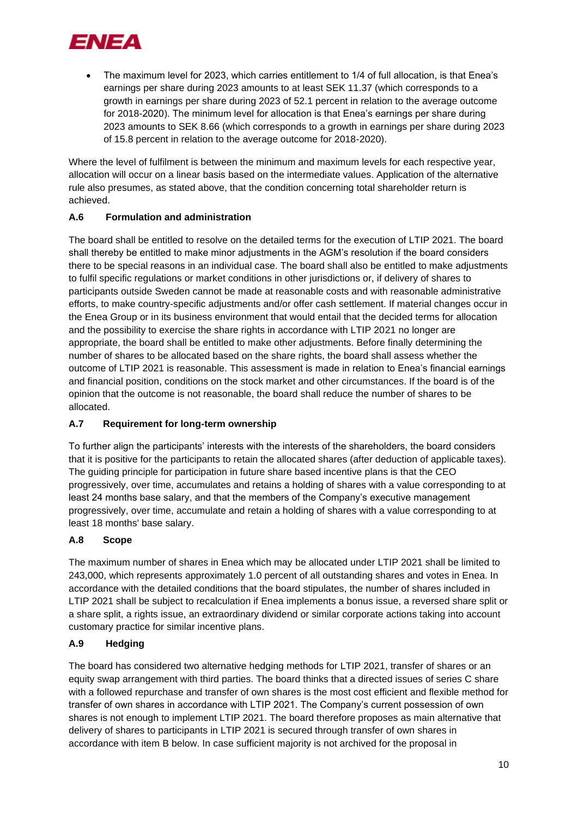

• The maximum level for 2023, which carries entitlement to 1/4 of full allocation, is that Enea's earnings per share during 2023 amounts to at least SEK 11.37 (which corresponds to a growth in earnings per share during 2023 of 52.1 percent in relation to the average outcome for 2018-2020). The minimum level for allocation is that Enea's earnings per share during 2023 amounts to SEK 8.66 (which corresponds to a growth in earnings per share during 2023 of 15.8 percent in relation to the average outcome for 2018-2020).

Where the level of fulfilment is between the minimum and maximum levels for each respective year, allocation will occur on a linear basis based on the intermediate values. Application of the alternative rule also presumes, as stated above, that the condition concerning total shareholder return is achieved.

## **A.6 Formulation and administration**

The board shall be entitled to resolve on the detailed terms for the execution of LTIP 2021. The board shall thereby be entitled to make minor adjustments in the AGM's resolution if the board considers there to be special reasons in an individual case. The board shall also be entitled to make adjustments to fulfil specific regulations or market conditions in other jurisdictions or, if delivery of shares to participants outside Sweden cannot be made at reasonable costs and with reasonable administrative efforts, to make country-specific adjustments and/or offer cash settlement. If material changes occur in the Enea Group or in its business environment that would entail that the decided terms for allocation and the possibility to exercise the share rights in accordance with LTIP 2021 no longer are appropriate, the board shall be entitled to make other adjustments. Before finally determining the number of shares to be allocated based on the share rights, the board shall assess whether the outcome of LTIP 2021 is reasonable. This assessment is made in relation to Enea's financial earnings and financial position, conditions on the stock market and other circumstances. If the board is of the opinion that the outcome is not reasonable, the board shall reduce the number of shares to be allocated.

## **A.7 Requirement for long-term ownership**

To further align the participants' interests with the interests of the shareholders, the board considers that it is positive for the participants to retain the allocated shares (after deduction of applicable taxes). The guiding principle for participation in future share based incentive plans is that the CEO progressively, over time, accumulates and retains a holding of shares with a value corresponding to at least 24 months base salary, and that the members of the Company's executive management progressively, over time, accumulate and retain a holding of shares with a value corresponding to at least 18 months' base salary.

## **A.8 Scope**

The maximum number of shares in Enea which may be allocated under LTIP 2021 shall be limited to 243,000, which represents approximately 1.0 percent of all outstanding shares and votes in Enea. In accordance with the detailed conditions that the board stipulates, the number of shares included in LTIP 2021 shall be subject to recalculation if Enea implements a bonus issue, a reversed share split or a share split, a rights issue, an extraordinary dividend or similar corporate actions taking into account customary practice for similar incentive plans.

## **A.9 Hedging**

The board has considered two alternative hedging methods for LTIP 2021, transfer of shares or an equity swap arrangement with third parties. The board thinks that a directed issues of series C share with a followed repurchase and transfer of own shares is the most cost efficient and flexible method for transfer of own shares in accordance with LTIP 2021. The Company's current possession of own shares is not enough to implement LTIP 2021. The board therefore proposes as main alternative that delivery of shares to participants in LTIP 2021 is secured through transfer of own shares in accordance with item B below. In case sufficient majority is not archived for the proposal in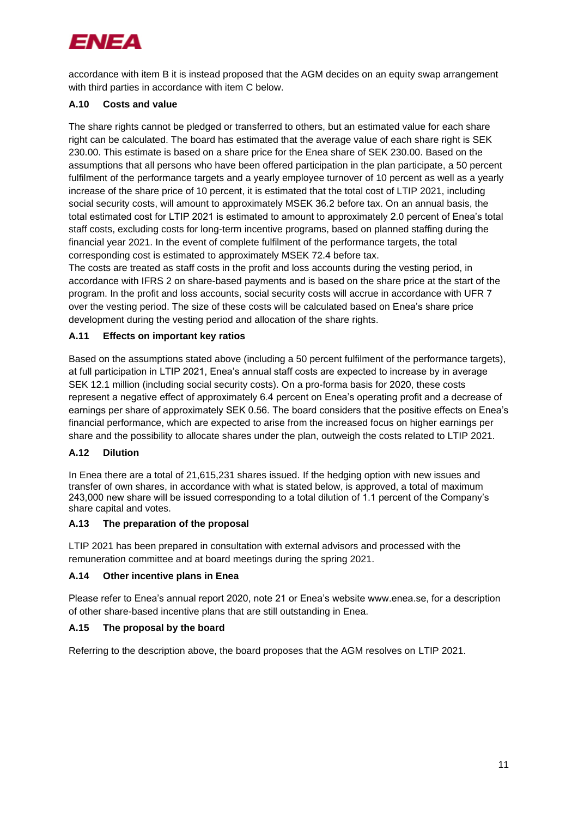

accordance with item B it is instead proposed that the AGM decides on an equity swap arrangement with third parties in accordance with item C below.

## **A.10 Costs and value**

The share rights cannot be pledged or transferred to others, but an estimated value for each share right can be calculated. The board has estimated that the average value of each share right is SEK 230.00. This estimate is based on a share price for the Enea share of SEK 230.00. Based on the assumptions that all persons who have been offered participation in the plan participate, a 50 percent fulfilment of the performance targets and a yearly employee turnover of 10 percent as well as a yearly increase of the share price of 10 percent, it is estimated that the total cost of LTIP 2021, including social security costs, will amount to approximately MSEK 36.2 before tax. On an annual basis, the total estimated cost for LTIP 2021 is estimated to amount to approximately 2.0 percent of Enea's total staff costs, excluding costs for long-term incentive programs, based on planned staffing during the financial year 2021. In the event of complete fulfilment of the performance targets, the total corresponding cost is estimated to approximately MSEK 72.4 before tax.

The costs are treated as staff costs in the profit and loss accounts during the vesting period, in accordance with IFRS 2 on share-based payments and is based on the share price at the start of the program. In the profit and loss accounts, social security costs will accrue in accordance with UFR 7 over the vesting period. The size of these costs will be calculated based on Enea's share price development during the vesting period and allocation of the share rights.

## **A.11 Effects on important key ratios**

Based on the assumptions stated above (including a 50 percent fulfilment of the performance targets), at full participation in LTIP 2021, Enea's annual staff costs are expected to increase by in average SEK 12.1 million (including social security costs). On a pro-forma basis for 2020, these costs represent a negative effect of approximately 6.4 percent on Enea's operating profit and a decrease of earnings per share of approximately SEK 0.56. The board considers that the positive effects on Enea's financial performance, which are expected to arise from the increased focus on higher earnings per share and the possibility to allocate shares under the plan, outweigh the costs related to LTIP 2021.

## **A.12 Dilution**

In Enea there are a total of 21,615,231 shares issued. If the hedging option with new issues and transfer of own shares, in accordance with what is stated below, is approved, a total of maximum 243,000 new share will be issued corresponding to a total dilution of 1.1 percent of the Company's share capital and votes.

## **A.13 The preparation of the proposal**

LTIP 2021 has been prepared in consultation with external advisors and processed with the remuneration committee and at board meetings during the spring 2021.

## **A.14 Other incentive plans in Enea**

Please refer to Enea's annual report 2020, note 21 or Enea's website www.enea.se, for a description of other share-based incentive plans that are still outstanding in Enea.

## **A.15 The proposal by the board**

Referring to the description above, the board proposes that the AGM resolves on LTIP 2021.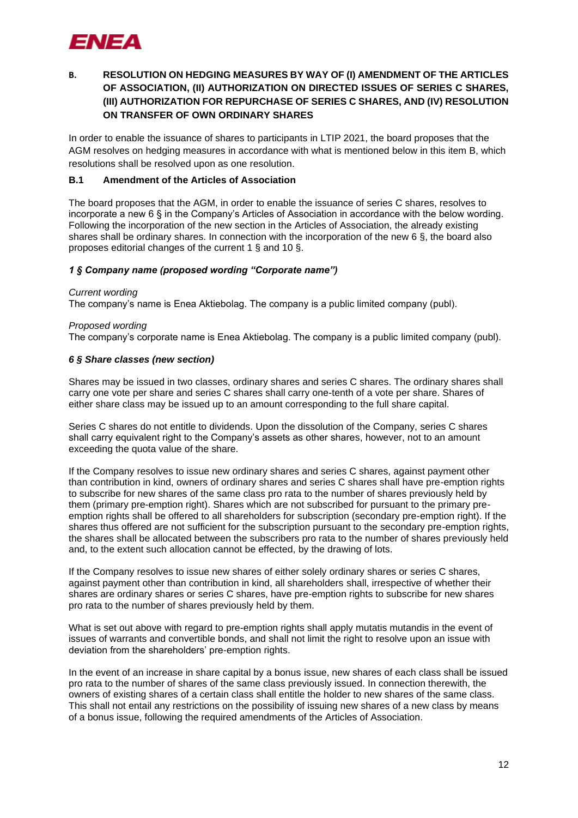

## **B. RESOLUTION ON HEDGING MEASURES BY WAY OF (I) AMENDMENT OF THE ARTICLES OF ASSOCIATION, (II) AUTHORIZATION ON DIRECTED ISSUES OF SERIES C SHARES, (III) AUTHORIZATION FOR REPURCHASE OF SERIES C SHARES, AND (IV) RESOLUTION ON TRANSFER OF OWN ORDINARY SHARES**

In order to enable the issuance of shares to participants in LTIP 2021, the board proposes that the AGM resolves on hedging measures in accordance with what is mentioned below in this item B, which resolutions shall be resolved upon as one resolution.

## **B.1 Amendment of the Articles of Association**

The board proposes that the AGM, in order to enable the issuance of series C shares, resolves to incorporate a new 6 § in the Company's Articles of Association in accordance with the below wording. Following the incorporation of the new section in the Articles of Association, the already existing shares shall be ordinary shares. In connection with the incorporation of the new 6 §, the board also proposes editorial changes of the current 1 § and 10 §.

#### *1 § Company name (proposed wording "Corporate name")*

#### *Current wording*

The company's name is Enea Aktiebolag. The company is a public limited company (publ).

#### *Proposed wording*

The company's corporate name is Enea Aktiebolag. The company is a public limited company (publ).

#### *6 § Share classes (new section)*

Shares may be issued in two classes, ordinary shares and series C shares. The ordinary shares shall carry one vote per share and series C shares shall carry one-tenth of a vote per share. Shares of either share class may be issued up to an amount corresponding to the full share capital.

Series C shares do not entitle to dividends. Upon the dissolution of the Company, series C shares shall carry equivalent right to the Company's assets as other shares, however, not to an amount exceeding the quota value of the share.

If the Company resolves to issue new ordinary shares and series C shares, against payment other than contribution in kind, owners of ordinary shares and series C shares shall have pre-emption rights to subscribe for new shares of the same class pro rata to the number of shares previously held by them (primary pre-emption right). Shares which are not subscribed for pursuant to the primary preemption rights shall be offered to all shareholders for subscription (secondary pre-emption right). If the shares thus offered are not sufficient for the subscription pursuant to the secondary pre-emption rights, the shares shall be allocated between the subscribers pro rata to the number of shares previously held and, to the extent such allocation cannot be effected, by the drawing of lots.

If the Company resolves to issue new shares of either solely ordinary shares or series C shares, against payment other than contribution in kind, all shareholders shall, irrespective of whether their shares are ordinary shares or series C shares, have pre-emption rights to subscribe for new shares pro rata to the number of shares previously held by them.

What is set out above with regard to pre-emption rights shall apply mutatis mutandis in the event of issues of warrants and convertible bonds, and shall not limit the right to resolve upon an issue with deviation from the shareholders' pre-emption rights.

In the event of an increase in share capital by a bonus issue, new shares of each class shall be issued pro rata to the number of shares of the same class previously issued. In connection therewith, the owners of existing shares of a certain class shall entitle the holder to new shares of the same class. This shall not entail any restrictions on the possibility of issuing new shares of a new class by means of a bonus issue, following the required amendments of the Articles of Association.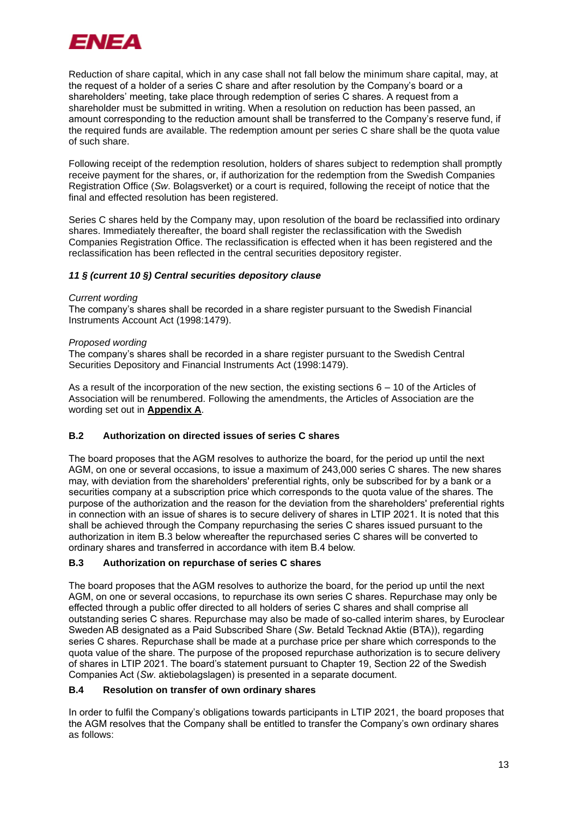

Reduction of share capital, which in any case shall not fall below the minimum share capital, may, at the request of a holder of a series C share and after resolution by the Company's board or a shareholders' meeting, take place through redemption of series C shares. A request from a shareholder must be submitted in writing. When a resolution on reduction has been passed, an amount corresponding to the reduction amount shall be transferred to the Company's reserve fund, if the required funds are available. The redemption amount per series C share shall be the quota value of such share.

Following receipt of the redemption resolution, holders of shares subject to redemption shall promptly receive payment for the shares, or, if authorization for the redemption from the Swedish Companies Registration Office (*Sw*. Bolagsverket) or a court is required, following the receipt of notice that the final and effected resolution has been registered.

Series C shares held by the Company may, upon resolution of the board be reclassified into ordinary shares. Immediately thereafter, the board shall register the reclassification with the Swedish Companies Registration Office. The reclassification is effected when it has been registered and the reclassification has been reflected in the central securities depository register.

## *11 § (current 10 §) Central securities depository clause*

#### *Current wording*

The company's shares shall be recorded in a share register pursuant to the Swedish Financial Instruments Account Act (1998:1479).

#### *Proposed wording*

The company's shares shall be recorded in a share register pursuant to the Swedish Central Securities Depository and Financial Instruments Act (1998:1479).

As a result of the incorporation of the new section, the existing sections  $6 - 10$  of the Articles of Association will be renumbered. Following the amendments, the Articles of Association are the wording set out in **Appendix A**.

## **B.2 Authorization on directed issues of series C shares**

The board proposes that the AGM resolves to authorize the board, for the period up until the next AGM, on one or several occasions, to issue a maximum of 243,000 series C shares. The new shares may, with deviation from the shareholders' preferential rights, only be subscribed for by a bank or a securities company at a subscription price which corresponds to the quota value of the shares. The purpose of the authorization and the reason for the deviation from the shareholders' preferential rights in connection with an issue of shares is to secure delivery of shares in LTIP 2021. It is noted that this shall be achieved through the Company repurchasing the series C shares issued pursuant to the authorization in item B.3 below whereafter the repurchased series C shares will be converted to ordinary shares and transferred in accordance with item B.4 below.

## **B.3 Authorization on repurchase of series C shares**

The board proposes that the AGM resolves to authorize the board, for the period up until the next AGM, on one or several occasions, to repurchase its own series C shares. Repurchase may only be effected through a public offer directed to all holders of series C shares and shall comprise all outstanding series C shares. Repurchase may also be made of so-called interim shares, by Euroclear Sweden AB designated as a Paid Subscribed Share (*Sw*. Betald Tecknad Aktie (BTA)), regarding series C shares. Repurchase shall be made at a purchase price per share which corresponds to the quota value of the share. The purpose of the proposed repurchase authorization is to secure delivery of shares in LTIP 2021. The board's statement pursuant to Chapter 19, Section 22 of the Swedish Companies Act (*Sw*. aktiebolagslagen) is presented in a separate document.

## **B.4 Resolution on transfer of own ordinary shares**

In order to fulfil the Company's obligations towards participants in LTIP 2021, the board proposes that the AGM resolves that the Company shall be entitled to transfer the Company's own ordinary shares as follows: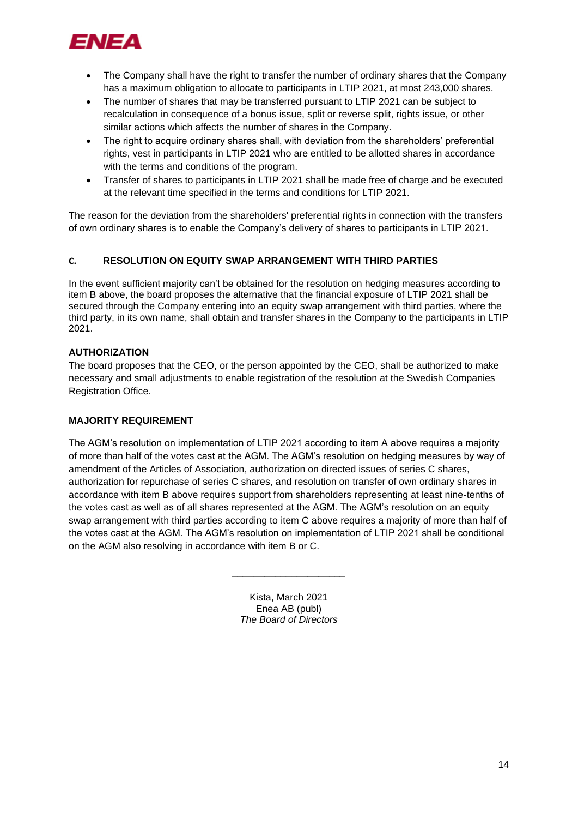

- The Company shall have the right to transfer the number of ordinary shares that the Company has a maximum obligation to allocate to participants in LTIP 2021, at most 243,000 shares.
- The number of shares that may be transferred pursuant to LTIP 2021 can be subject to recalculation in consequence of a bonus issue, split or reverse split, rights issue, or other similar actions which affects the number of shares in the Company.
- The right to acquire ordinary shares shall, with deviation from the shareholders' preferential rights, vest in participants in LTIP 2021 who are entitled to be allotted shares in accordance with the terms and conditions of the program.
- Transfer of shares to participants in LTIP 2021 shall be made free of charge and be executed at the relevant time specified in the terms and conditions for LTIP 2021.

The reason for the deviation from the shareholders' preferential rights in connection with the transfers of own ordinary shares is to enable the Company's delivery of shares to participants in LTIP 2021.

## **C. RESOLUTION ON EQUITY SWAP ARRANGEMENT WITH THIRD PARTIES**

In the event sufficient majority can't be obtained for the resolution on hedging measures according to item B above, the board proposes the alternative that the financial exposure of LTIP 2021 shall be secured through the Company entering into an equity swap arrangement with third parties, where the third party, in its own name, shall obtain and transfer shares in the Company to the participants in LTIP 2021.

## **AUTHORIZATION**

The board proposes that the CEO, or the person appointed by the CEO, shall be authorized to make necessary and small adjustments to enable registration of the resolution at the Swedish Companies Registration Office.

## **MAJORITY REQUIREMENT**

The AGM's resolution on implementation of LTIP 2021 according to item A above requires a majority of more than half of the votes cast at the AGM. The AGM's resolution on hedging measures by way of amendment of the Articles of Association, authorization on directed issues of series C shares, authorization for repurchase of series C shares, and resolution on transfer of own ordinary shares in accordance with item B above requires support from shareholders representing at least nine-tenths of the votes cast as well as of all shares represented at the AGM. The AGM's resolution on an equity swap arrangement with third parties according to item C above requires a majority of more than half of the votes cast at the AGM. The AGM's resolution on implementation of LTIP 2021 shall be conditional on the AGM also resolving in accordance with item B or C.

> Kista, March 2021 Enea AB (publ) *The Board of Directors*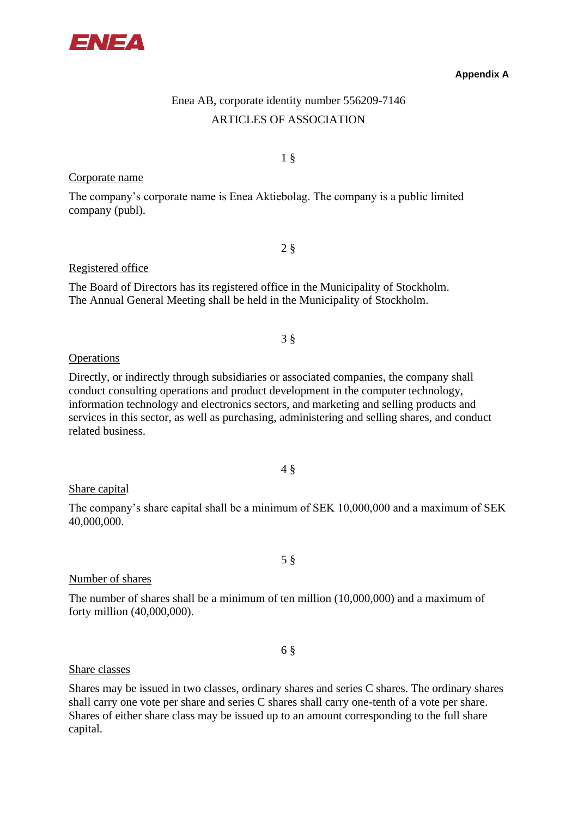

### **Appendix A**

# Enea AB, corporate identity number 556209-7146 ARTICLES OF ASSOCIATION

1 §

## Corporate name

The company's corporate name is Enea Aktiebolag. The company is a public limited company (publ).

2 §

## Registered office

The Board of Directors has its registered office in the Municipality of Stockholm. The Annual General Meeting shall be held in the Municipality of Stockholm.

3 §

## **Operations**

Directly, or indirectly through subsidiaries or associated companies, the company shall conduct consulting operations and product development in the computer technology, information technology and electronics sectors, and marketing and selling products and services in this sector, as well as purchasing, administering and selling shares, and conduct related business.

4 §

## Share capital

The company's share capital shall be a minimum of SEK 10,000,000 and a maximum of SEK 40,000,000.

5 §

## Number of shares

The number of shares shall be a minimum of ten million (10,000,000) and a maximum of forty million (40,000,000).

6 §

### Share classes

Shares may be issued in two classes, ordinary shares and series C shares. The ordinary shares shall carry one vote per share and series C shares shall carry one-tenth of a vote per share. Shares of either share class may be issued up to an amount corresponding to the full share capital.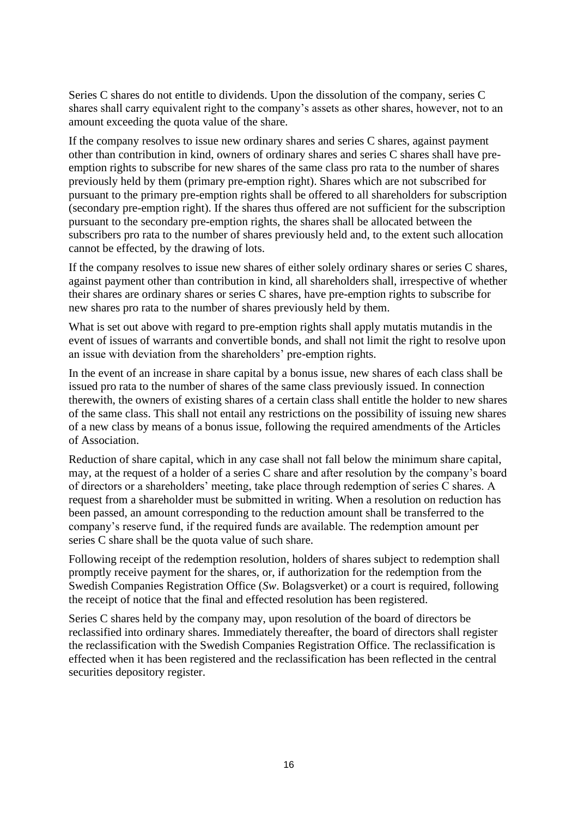Series C shares do not entitle to dividends. Upon the dissolution of the company, series C shares shall carry equivalent right to the company's assets as other shares, however, not to an amount exceeding the quota value of the share.

If the company resolves to issue new ordinary shares and series C shares, against payment other than contribution in kind, owners of ordinary shares and series C shares shall have preemption rights to subscribe for new shares of the same class pro rata to the number of shares previously held by them (primary pre-emption right). Shares which are not subscribed for pursuant to the primary pre-emption rights shall be offered to all shareholders for subscription (secondary pre-emption right). If the shares thus offered are not sufficient for the subscription pursuant to the secondary pre-emption rights, the shares shall be allocated between the subscribers pro rata to the number of shares previously held and, to the extent such allocation cannot be effected, by the drawing of lots.

If the company resolves to issue new shares of either solely ordinary shares or series C shares, against payment other than contribution in kind, all shareholders shall, irrespective of whether their shares are ordinary shares or series C shares, have pre-emption rights to subscribe for new shares pro rata to the number of shares previously held by them.

What is set out above with regard to pre-emption rights shall apply mutatis mutandis in the event of issues of warrants and convertible bonds, and shall not limit the right to resolve upon an issue with deviation from the shareholders' pre-emption rights.

In the event of an increase in share capital by a bonus issue, new shares of each class shall be issued pro rata to the number of shares of the same class previously issued. In connection therewith, the owners of existing shares of a certain class shall entitle the holder to new shares of the same class. This shall not entail any restrictions on the possibility of issuing new shares of a new class by means of a bonus issue, following the required amendments of the Articles of Association.

Reduction of share capital, which in any case shall not fall below the minimum share capital, may, at the request of a holder of a series C share and after resolution by the company's board of directors or a shareholders' meeting, take place through redemption of series C shares. A request from a shareholder must be submitted in writing. When a resolution on reduction has been passed, an amount corresponding to the reduction amount shall be transferred to the company's reserve fund, if the required funds are available. The redemption amount per series C share shall be the quota value of such share.

Following receipt of the redemption resolution, holders of shares subject to redemption shall promptly receive payment for the shares, or, if authorization for the redemption from the Swedish Companies Registration Office (*Sw*. Bolagsverket) or a court is required, following the receipt of notice that the final and effected resolution has been registered.

Series C shares held by the company may, upon resolution of the board of directors be reclassified into ordinary shares. Immediately thereafter, the board of directors shall register the reclassification with the Swedish Companies Registration Office. The reclassification is effected when it has been registered and the reclassification has been reflected in the central securities depository register.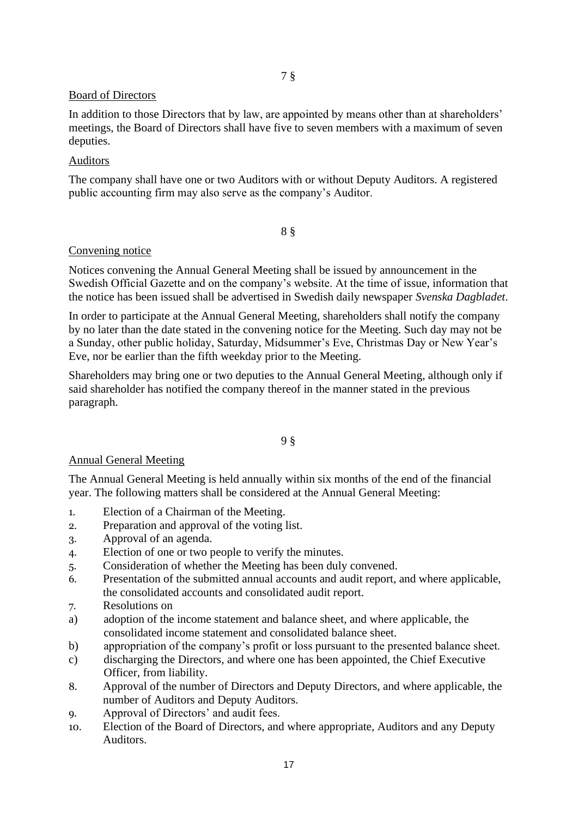## 7 §

## Board of Directors

In addition to those Directors that by law, are appointed by means other than at shareholders' meetings, the Board of Directors shall have five to seven members with a maximum of seven deputies.

## Auditors

The company shall have one or two Auditors with or without Deputy Auditors. A registered public accounting firm may also serve as the company's Auditor.

## 8 §

## Convening notice

Notices convening the Annual General Meeting shall be issued by announcement in the Swedish Official Gazette and on the company's website. At the time of issue, information that the notice has been issued shall be advertised in Swedish daily newspaper *Svenska Dagbladet*.

In order to participate at the Annual General Meeting, shareholders shall notify the company by no later than the date stated in the convening notice for the Meeting. Such day may not be a Sunday, other public holiday, Saturday, Midsummer's Eve, Christmas Day or New Year's Eve, nor be earlier than the fifth weekday prior to the Meeting.

Shareholders may bring one or two deputies to the Annual General Meeting, although only if said shareholder has notified the company thereof in the manner stated in the previous paragraph.

## 9 §

## Annual General Meeting

The Annual General Meeting is held annually within six months of the end of the financial year. The following matters shall be considered at the Annual General Meeting:

- 1. Election of a Chairman of the Meeting.
- 2. Preparation and approval of the voting list.
- 3. Approval of an agenda.
- 4. Election of one or two people to verify the minutes.
- 5. Consideration of whether the Meeting has been duly convened.
- 6. Presentation of the submitted annual accounts and audit report, and where applicable, the consolidated accounts and consolidated audit report.
- 7. Resolutions on
- a) adoption of the income statement and balance sheet, and where applicable, the consolidated income statement and consolidated balance sheet.
- b) appropriation of the company's profit or loss pursuant to the presented balance sheet.
- c) discharging the Directors, and where one has been appointed, the Chief Executive Officer, from liability.
- 8. Approval of the number of Directors and Deputy Directors, and where applicable, the number of Auditors and Deputy Auditors.
- 9. Approval of Directors' and audit fees.
- 10. Election of the Board of Directors, and where appropriate, Auditors and any Deputy Auditors.